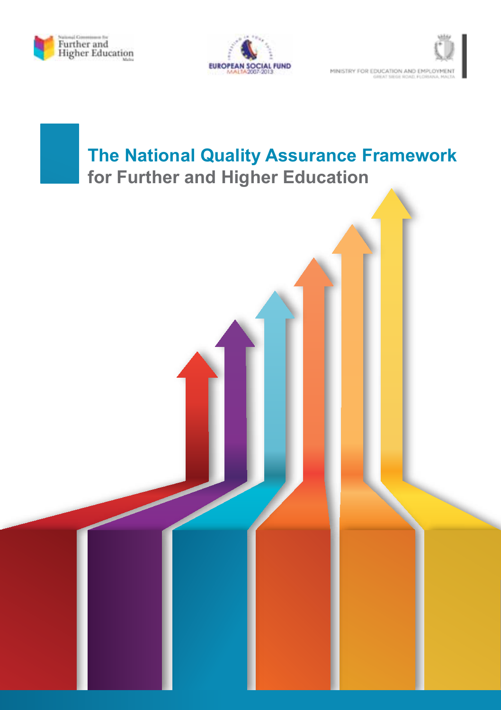





# **The National Quality Assurance Framework for Further and Higher Education**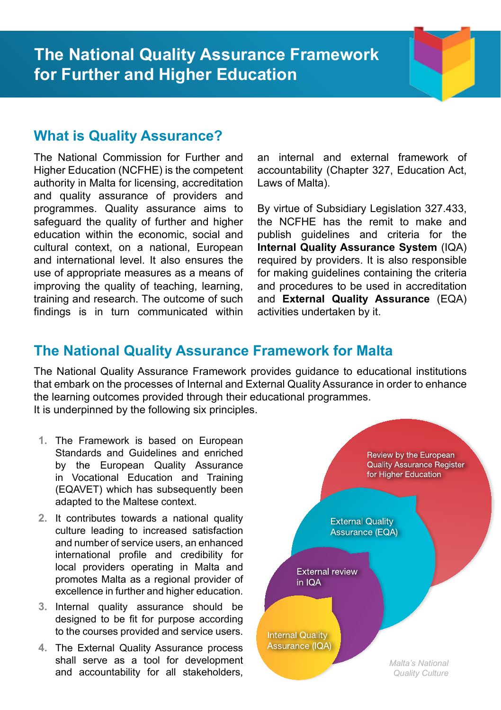#### **What is Quality Assurance?**

The National Commission for Further and Higher Education (NCFHE) is the competent authority in Malta for licensing, accreditation and quality assurance of providers and programmes. Quality assurance aims to safeguard the quality of further and higher education within the economic, social and cultural context, on a national, European and international level. It also ensures the use of appropriate measures as a means of improving the quality of teaching, learning, training and research. The outcome of such findings is in turn communicated within an internal and external framework of accountability (Chapter 327, Education Act, Laws of Malta).

By virtue of Subsidiary Legislation 327.433, the NCFHE has the remit to make and publish guidelines and criteria for the **Internal Quality Assurance System** (IQA) required by providers. It is also responsible for making guidelines containing the criteria and procedures to be used in accreditation and **External Quality Assurance** (EQA) activities undertaken by it.

#### **The National Quality Assurance Framework for Malta**

The National Quality Assurance Framework provides guidance to educational institutions that embark on the processes of Internal and External Quality Assurance in order to enhance the learning outcomes provided through their educational programmes. It is underpinned by the following six principles.

- **1.** The Framework is based on European Standards and Guidelines and enriched by the European Quality Assurance in Vocational Education and Training (EQAVET) which has subsequently been adapted to the Maltese context.
- **2.** It contributes towards a national quality culture leading to increased satisfaction and number of service users, an enhanced international profile and credibility for local providers operating in Malta and promotes Malta as a regional provider of excellence in further and higher education.
- **3.** Internal quality assurance should be designed to be fit for purpose according to the courses provided and service users.
- **4.** The External Quality Assurance process shall serve as a tool for development and accountability for all stakeholders,

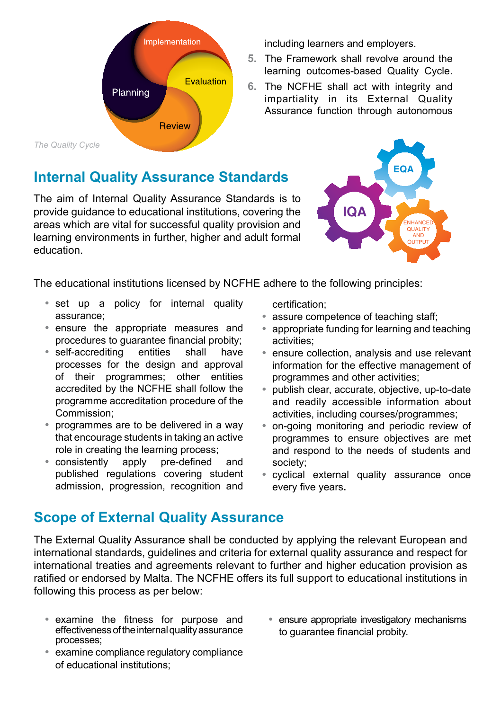

## **Internal Quality Assurance Standards**

The aim of Internal Quality Assurance Standards is to provide guidance to educational institutions, covering the areas which are vital for successful quality provision and learning environments in further, higher and adult formal education.

including learners and employers.

- **5.** The Framework shall revolve around the learning outcomes-based Quality Cycle.
- **6.** The NCFHE shall act with integrity and impartiality in its External Quality Assurance function through autonomous



The educational institutions licensed by NCFHE adhere to the following principles:

- **•**  set up a policy for internal quality assurance;
- **•**  ensure the appropriate measures and procedures to guarantee financial probity;
- **•**  self-accrediting entities shall have processes for the design and approval of their programmes; other entities accredited by the NCFHE shall follow the programme accreditation procedure of the Commission;
- **•**  programmes are to be delivered in a way that encourage students in taking an active role in creating the learning process;
- **•**  consistently apply pre-defined and published regulations covering student admission, progression, recognition and

certification;

- **•**  assure competence of teaching staff;
- appropriate funding for learning and teaching activities;
- **•**  ensure collection, analysis and use relevant information for the effective management of programmes and other activities;
- **•**  publish clear, accurate, objective, up-to-date and readily accessible information about activities, including courses/programmes;
- **•**  on-going monitoring and periodic review of programmes to ensure objectives are met and respond to the needs of students and society;
- cvclical external quality assurance once every five years.

### **Scope of External Quality Assurance**

The External Quality Assurance shall be conducted by applying the relevant European and international standards, guidelines and criteria for external quality assurance and respect for international treaties and agreements relevant to further and higher education provision as ratified or endorsed by Malta. The NCFHE offers its full support to educational institutions in following this process as per below:

- **•**  examine the fitness for purpose and effectiveness of the internal quality assurance processes;
- **•**  examine compliance regulatory compliance of educational institutions;
- **•**  ensure appropriate investigatory mechanisms to guarantee financial probity.